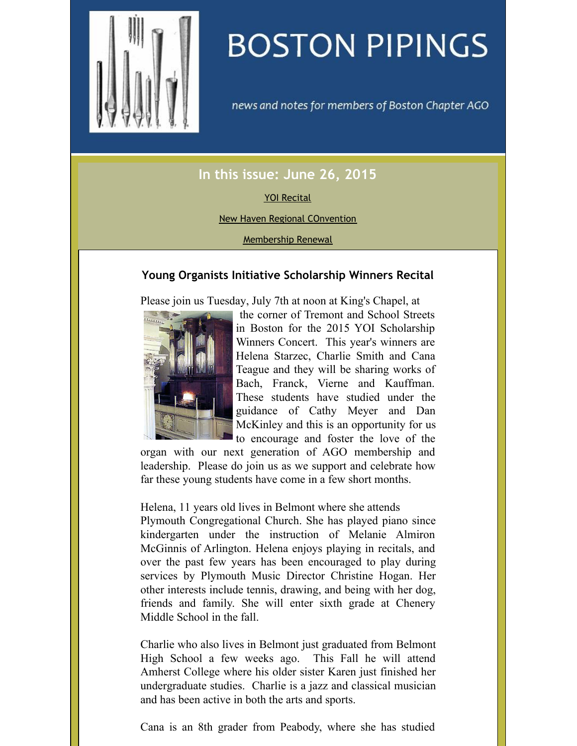<span id="page-0-0"></span>

# **BOSTON PIPINGS**

news and notes for members of Boston Chapter AGO

# **In this issue: June 26, 2015**

#### YOI [Recital](#page-0-0)

New Haven Regional [COnvention](#page-0-0)

[Membership](#page-0-0) Renewal

## **Young Organists Initiative Scholarship Winners Recital**

Please join us Tuesday, July 7th at noon at King's Chapel, at



the corner of Tremont and School Streets in Boston for the 2015 YOI Scholarship Winners Concert. This year's winners are Helena Starzec, Charlie Smith and Cana Teague and they will be sharing works of Bach, Franck, Vierne and Kauffman. These students have studied under the guidance of Cathy Meyer and Dan McKinley and this is an opportunity for us to encourage and foster the love of the

organ with our next generation of AGO membership and leadership. Please do join us as we support and celebrate how far these young students have come in a few short months.

Helena, 11 years old lives in Belmont where she attends

Plymouth Congregational Church. She has played piano since kindergarten under the instruction of Melanie Almiron McGinnis of Arlington. Helena enjoys playing in recitals, and over the past few years has been encouraged to play during services by Plymouth Music Director Christine Hogan. Her other interests include tennis, drawing, and being with her dog, friends and family. She will enter sixth grade at Chenery Middle School in the fall.

Charlie who also lives in Belmont just graduated from Belmont High School a few weeks ago. This Fall he will attend Amherst College where his older sister Karen just finished her undergraduate studies. Charlie is a jazz and classical musician and has been active in both the arts and sports.

Cana is an 8th grader from Peabody, where she has studied